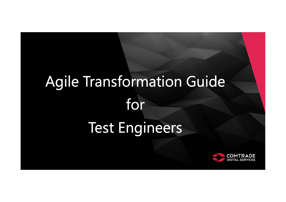## Agile Transformation Guide for Test Engineers

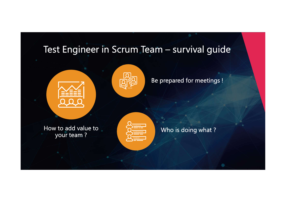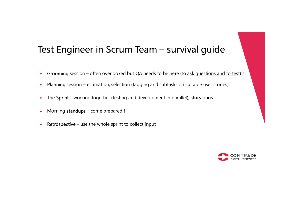## Fest Engineer in Scrum Team — survival guide<br>
» Grooming session – often overlooked but QA needs to be here (to <u>ask questions and to test</u>) !<br>
» Planning session – estimation, selection (tagging and subtasks on suitable u Fest Engineer in Scrum Team – survival guide<br>
» Grooming session – often overlooked but QA needs to be here (to <u>ask questions and to test)</u> !<br>
» Planning session – estimation, selection (tagging and subtasks on suitable u Test Engineer in Scrum Team – survival guide<br>
• Grooming session – often overlooked but QA needs to be here (to <u>ask questions and to test)</u><br>
• Planning session – estimation, selection <u>(tagging and subtasks</u> on suitable u Test Engineer in Scrum Team – survival guide<br>• Grooming session – often overlooked but QA needs to be here (to <u>ask questions and to te</u><br>• Planning session – estimation, selection (<u>tagging and subtasks</u> on suitable user s Fest Engineer in Scrum Team – surviventy of the Scrum state of the Scrum Team – surviventy of the print parallel and suppose the sprint – working together (testing and development in parallel), s<br>
The Sprint – working toge Test Engineer in Scrum Team – survival guide

- 
- 
- 
- 
- 

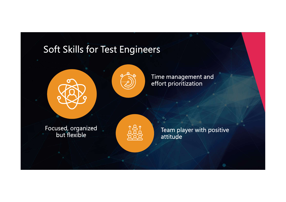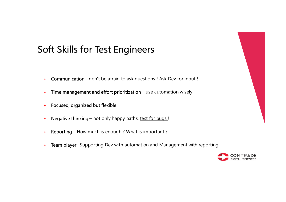# oft Skills for Test Engineers<br>» Communication - don't be afraid to ask questions ! <u>Ask Dev for input !</u><br>» Time management and effort prioritization – use automation wisely oft Skills for Test Engineers<br>» Communication - don't be afraid to ask questions ! <u>Ask Dev for input !</u><br>» Time management and effort prioritization – use automation wisely<br>» Focused, organized but flexible **Oft Skills for Test Engineers**<br>
» Communication - don't be afraid to ask questions ! <u>Ask Dev for input !</u><br>
» Time management and effort prioritization – use automation wisely<br>
» Focused, organized but flexible<br>
» Negativ **Signal State Condition Control Control Condition Control Control Communication - don't be afraid to ask questions ! Ask Dev for input!<br>
• Time management and effort prioritization – use automation wisely<br>
• Pocused, organ** Soft Skills for Test Engineers

- 
- 
- » Focused, organized but flexible
- 
- 
- <p>• <b>Communication</b> don't be afraid to ask questions ! <u>Ask Dev for input!</u></p>\n<p>• <b>Time management and effort prioritization</b> use automation wisely</p>\n<p>• <b>Focusd, organized but flexible</b></p>\n<p>• <b>Negative thinking</b> not only happy paths, test for bugs!</p>\n<p>• <b>Reporting</b> <u>How much</u> is enough ? <u>What</u> is important ?</p>\n<p>• <b>Team player</b> <u>Supporting</u> Dev with automatic and Management with reporting.</p>\n<p>• <u>COMM</u>

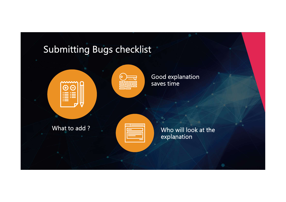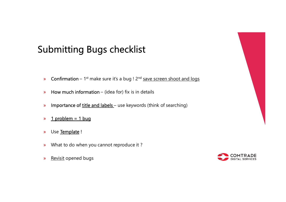# whitting Bugs checklist<br>
» Confirmation – 1st make sure it's a bug ! 2<sup>nd</sup> <u>save screen shoot and logs</u><br>
» How much information – (idea for) fix is in details **ubmitting Bugs checklist**<br>» Confirmation – 1st make sure it's a bug ! 2<sup>nd</sup> <u>save screen shoot and logs</u><br>» How much information – (idea for) fix is in details<br>» Importance of <u>title and labels</u> – use keywords (think of se **ubmitting Bugs checklist**<br>» Confirmation – 1st make sure it's a bug ! 2<sup>nd</sup> <u>save screen shoot and logs</u><br>» How much information – (idea for) fix is in details<br>» Importance of <u>title and labels</u> – use keywords (think of se **ubmitting Bugs checklist**<br>
• Confirmation – 1<sup>st</sup> make sure it's a bug ! 2<sup>nd</sup> <u>save screen shoot and I</u><br>
• How much information – (idea for) fix is in details<br>
• Importance of <u>title and labels</u> – use keywords (think of Submitting Bugs checklist

- 
- 
- Confirmation 1<sup>st</sup> make sure it's a bug !  $2^{nd}$  <u>save screen shot</u><br>
 How much information (idea for) fix is in details<br>
 Importance of <u>title and labels</u> use keywords (think of searc<br>
 **1** problem = **1** bug<br>
•
- » 1 problem = 1 bug
- 
- » What to do when you cannot reproduce it ?
- 

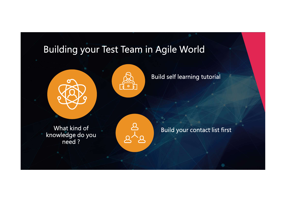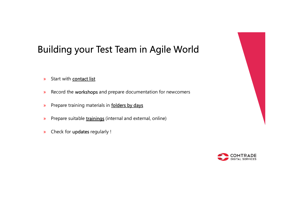#### Building your Test Team in Agile World

- » Start with contact list
- » Record the workshops and prepare documentation for newcomers
- » Prepare training materials in **folders by days**
- » Prepare suitable trainings (internal and external, online)
- » Check for updates regularly !

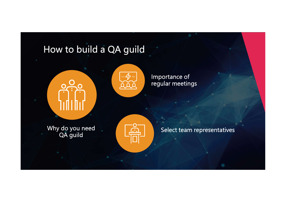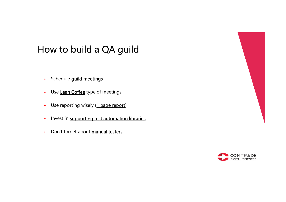#### How to build a QA guild

- » Schedule guild meetings
- » Use Lean Coffee type of meetings
- » Use reporting wisely (1 page report)
- » Invest in supporting test automation libraries
- » Don't forget about manual testers

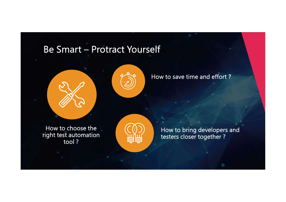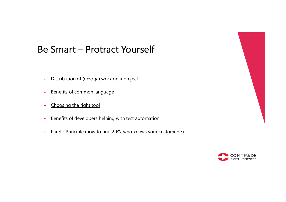# **9 Smart — Protract Yourself**<br>
• Distribution of (dev/qa) work on a project<br>
• Benefits of common language<br>
• Choosing the right tool<br>
• Benefits of developers helping with test automation<br>
• Pareto Principle (how to find Be Smart – Protract Yourself

- » Distribution of (dev/qa) work on a project
- » Benefits of common language
- » Choosing the right tool
- » Benefits of developers helping with test automation
- 



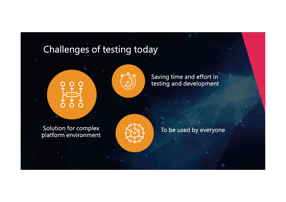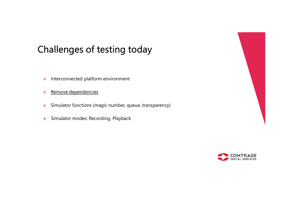#### Challenges of testing today

- » Interconnected platform environment
- » Remove dependencies
- » Simulator functions (magic number, queue, transparency)
- » Simulator modes: Recording, Playback



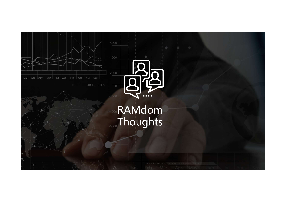